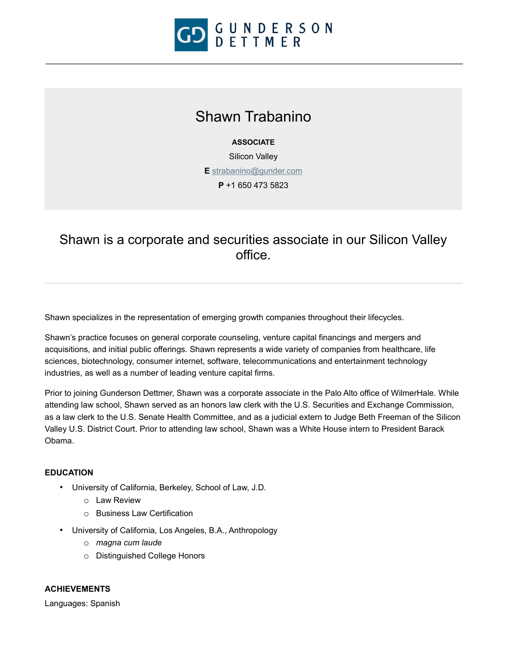

# Shawn Trabanino

### **ASSOCIATE**

Silicon Valley

**E** [strabanino@gunder.com](mailto:strabanino@gunder.com)

**P** +1 650 473 5823

# Shawn is a corporate and securities associate in our Silicon Valley office.

Shawn specializes in the representation of emerging growth companies throughout their lifecycles.

Shawn's practice focuses on general corporate counseling, venture capital financings and mergers and acquisitions, and initial public offerings. Shawn represents a wide variety of companies from healthcare, life sciences, biotechnology, consumer internet, software, telecommunications and entertainment technology industries, as well as a number of leading venture capital firms.

Prior to joining Gunderson Dettmer, Shawn was a corporate associate in the Palo Alto office of WilmerHale. While attending law school, Shawn served as an honors law clerk with the U.S. Securities and Exchange Commission, as a law clerk to the U.S. Senate Health Committee, and as a judicial extern to Judge Beth Freeman of the Silicon Valley U.S. District Court. Prior to attending law school, Shawn was a White House intern to President Barack Obama.

#### **EDUCATION**

- University of California, Berkeley, School of Law, J.D.
	- o Law Review
	- o Business Law Certification
- University of California, Los Angeles, B.A., Anthropology
	- o *magna cum laude*
	- o Distinguished College Honors

## **ACHIEVEMENTS**

Languages: Spanish